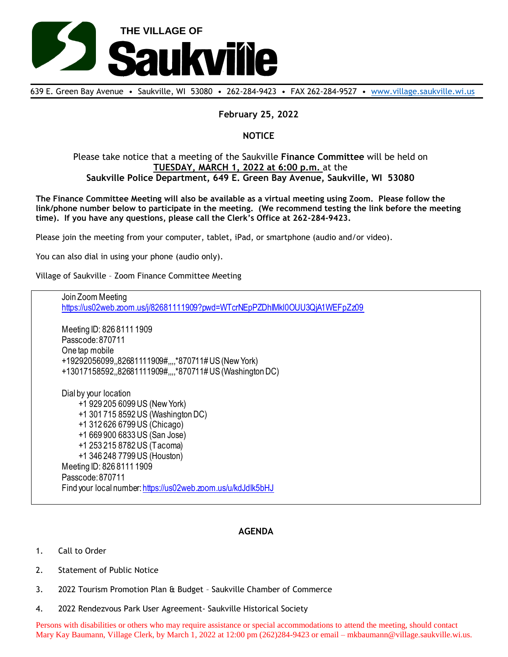

639 E. Green Bay Avenue • Saukville, WI 53080 • 262-284-9423 • FAX 262-284-9527 • [www.village.saukville.wi.us](http://www.village.saukville.wi.us/)

## **February 25, 2022**

## **NOTICE**

## Please take notice that a meeting of the Saukville **Finance Committee** will be held on **TUESDAY, MARCH 1, 2022 at 6:00 p.m.** at the **Saukville Police Department, 649 E. Green Bay Avenue, Saukville, WI 53080**

**The Finance Committee Meeting will also be available as a virtual meeting using Zoom. Please follow the link/phone number below to participate in the meeting. (We recommend testing the link before the meeting time). If you have any questions, please call the Clerk's Office at 262-284-9423.**

Please join the meeting from your computer, tablet, iPad, or smartphone (audio and/or video).

You can also dial in using your phone (audio only).

Village of Saukville – Zoom Finance Committee Meeting

Join Zoom Meeting https://us02web.zoom.us/j/82681111909?pwd=WTcrNEpPZDhlMkl0OUU3QjA1WEFpZz09 Meeting ID: 826 8111 1909 Passcode: 870711 One tap mobile +19292056099,,82681111909#,,,,\*870711# US (New York) +13017158592,,82681111909#,,,,\*870711# US (Washington DC) Dial by your location +1 929 205 6099 US (New York) +1 301 715 8592 US (Washington DC) +1 312 626 6799 US (Chicago) +1 669 900 6833 US (San Jose) +1 253 215 8782 US (Tacoma) +1 346 248 7799 US (Houston) Meeting ID: 826 8111 1909 Passcode: 870711 Find your local number: https://us02web.zoom.us/u/kdJdIk5bHJ

## **AGENDA**

- 1. Call to Order
- 2. Statement of Public Notice
- 3. 2022 Tourism Promotion Plan & Budget Saukville Chamber of Commerce
- 4. 2022 Rendezvous Park User Agreement- Saukville Historical Society

Persons with disabilities or others who may require assistance or special accommodations to attend the meeting, should contact Mary Kay Baumann, Village Clerk, by March 1, 2022 at 12:00 pm (262)284-9423 or email – mkbaumann@village.saukville.wi.us.